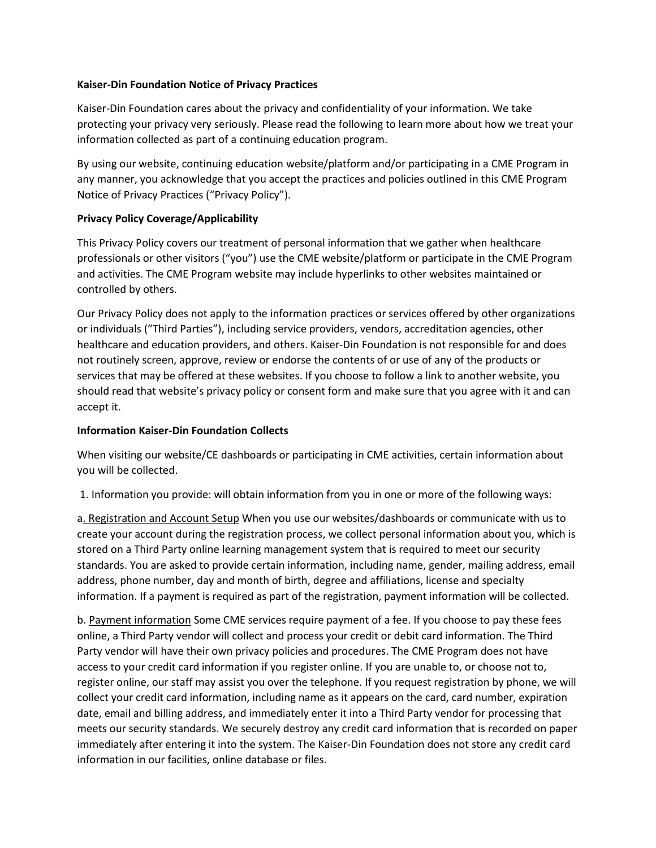## **Kaiser-Din Foundation Notice of Privacy Practices**

Kaiser-Din Foundation cares about the privacy and confidentiality of your information. We take protecting your privacy very seriously. Please read the following to learn more about how we treat your information collected as part of a continuing education program.

By using our website, continuing education website/platform and/or participating in a CME Program in any manner, you acknowledge that you accept the practices and policies outlined in this CME Program Notice of Privacy Practices ("Privacy Policy").

## **Privacy Policy Coverage/Applicability**

This Privacy Policy covers our treatment of personal information that we gather when healthcare professionals or other visitors ("you") use the CME website/platform or participate in the CME Program and activities. The CME Program website may include hyperlinks to other websites maintained or controlled by others.

Our Privacy Policy does not apply to the information practices or services offered by other organizations or individuals ("Third Parties"), including service providers, vendors, accreditation agencies, other healthcare and education providers, and others. Kaiser-Din Foundation is not responsible for and does not routinely screen, approve, review or endorse the contents of or use of any of the products or services that may be offered at these websites. If you choose to follow a link to another website, you should read that website's privacy policy or consent form and make sure that you agree with it and can accept it.

## **Information Kaiser-Din Foundation Collects**

When visiting our website/CE dashboards or participating in CME activities, certain information about you will be collected.

1. Information you provide: will obtain information from you in one or more of the following ways:

a. Registration and Account Setup When you use our websites/dashboards or communicate with us to create your account during the registration process, we collect personal information about you, which is stored on a Third Party online learning management system that is required to meet our security standards. You are asked to provide certain information, including name, gender, mailing address, email address, phone number, day and month of birth, degree and affiliations, license and specialty information. If a payment is required as part of the registration, payment information will be collected.

b. Payment information Some CME services require payment of a fee. If you choose to pay these fees online, a Third Party vendor will collect and process your credit or debit card information. The Third Party vendor will have their own privacy policies and procedures. The CME Program does not have access to your credit card information if you register online. If you are unable to, or choose not to, register online, our staff may assist you over the telephone. If you request registration by phone, we will collect your credit card information, including name as it appears on the card, card number, expiration date, email and billing address, and immediately enter it into a Third Party vendor for processing that meets our security standards. We securely destroy any credit card information that is recorded on paper immediately after entering it into the system. The Kaiser-Din Foundation does not store any credit card information in our facilities, online database or files.